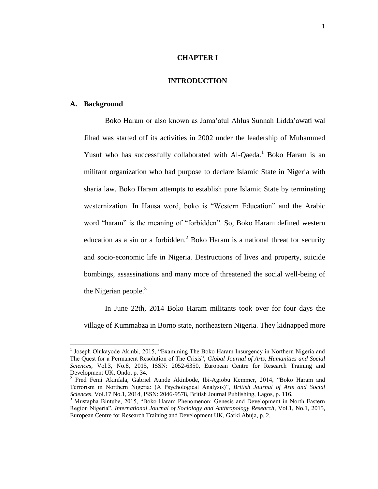## **CHAPTER I**

## **INTRODUCTION**

#### **A. Background**

 $\overline{a}$ 

Boko Haram or also known as Jama'atul Ahlus Sunnah Lidda'awati wal Jihad was started off its activities in 2002 under the leadership of Muhammed Yusuf who has successfully collaborated with Al-Qaeda.<sup>1</sup> Boko Haram is an militant organization who had purpose to declare Islamic State in Nigeria with sharia law. Boko Haram attempts to establish pure Islamic State by terminating westernization. In Hausa word, boko is "Western Education" and the Arabic word "haram" is the meaning of "forbidden". So, Boko Haram defined western education as a sin or a forbidden.<sup>2</sup> Boko Haram is a national threat for security and socio-economic life in Nigeria. Destructions of lives and property, suicide bombings, assassinations and many more of threatened the social well-being of the Nigerian people. $3$ 

In June 22th, 2014 Boko Haram militants took over for four days the village of Kummabza in Borno state, northeastern Nigeria. They kidnapped more

<sup>&</sup>lt;sup>1</sup> Joseph Olukayode Akinbi, 2015, "Examining The Boko Haram Insurgency in Northern Nigeria and The Quest for a Permanent Resolution of The Crisis", *Global Journal of Arts, Humanities and Social Sciences*, Vol.3, No.8, 2015, ISSN: 2052-6350, European Centre for Research Training and Development UK, Ondo, p. 34.

<sup>&</sup>lt;sup>2</sup> Fred Femi Akinfala, Gabriel Aunde Akinbode, Ibi-Agiobu Kemmer, 2014, "Boko Haram and Terrorism in Northern Nigeria: (A Psychological Analysis)", *British Journal of Arts and Social Sciences*, Vol.17 No.1, 2014, ISSN: 2046-9578, British Journal Publishing, Lagos, p. 116.

<sup>3</sup> Mustapha Bintube, 2015, "Boko Haram Phenomenon: Genesis and Development in North Eastern Region Nigeria", *International Journal of Sociology and Anthropology Research*, Vol.1, No.1, 2015, European Centre for Research Training and Development UK, Garki Abuja, p. 2.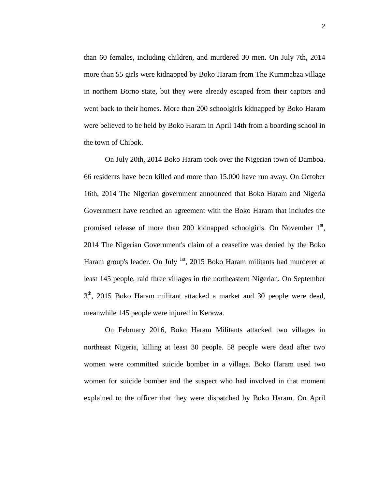than 60 females, including children, and murdered 30 men. On July 7th, 2014 more than 55 girls were kidnapped by Boko Haram from The Kummabza village in northern Borno state, but they were already escaped from their captors and went back to their homes. More than 200 schoolgirls kidnapped by Boko Haram were believed to be held by Boko Haram in April 14th from a boarding school in the town of Chibok.

On July 20th, 2014 Boko Haram took over the Nigerian town of Damboa. 66 residents have been killed and more than 15.000 have run away. On October 16th, 2014 The Nigerian government announced that Boko Haram and Nigeria Government have reached an agreement with the Boko Haram that includes the promised release of more than 200 kidnapped schoolgirls. On November  $1<sup>st</sup>$ , 2014 The Nigerian Government's claim of a ceasefire was denied by the Boko Haram group's leader. On July <sup>1st</sup>, 2015 Boko Haram militants had murderer at least 145 people, raid three villages in the northeastern Nigerian. On September 3<sup>th</sup>, 2015 Boko Haram militant attacked a market and 30 people were dead, meanwhile 145 people were injured in Kerawa.

On February 2016, Boko Haram Militants attacked two villages in northeast Nigeria, killing at least 30 people. 58 people were dead after two women were committed suicide bomber in a village. Boko Haram used two women for suicide bomber and the suspect who had involved in that moment explained to the officer that they were dispatched by Boko Haram. On April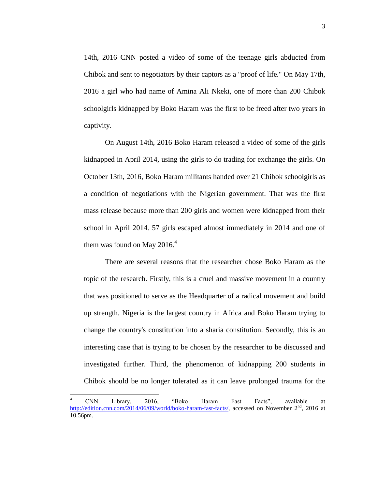14th, 2016 CNN posted a video of some of the teenage girls abducted from Chibok and sent to negotiators by their captors as a "proof of life." On May 17th, 2016 a girl who had name of Amina Ali Nkeki, one of more than 200 Chibok schoolgirls kidnapped by Boko Haram was the first to be freed after two years in captivity.

On August 14th, 2016 Boko Haram released a video of some of the girls kidnapped in April 2014, using the girls to do trading for exchange the girls. On October 13th, 2016, Boko Haram militants handed over 21 Chibok schoolgirls as a condition of negotiations with the Nigerian government. That was the first mass release because more than 200 girls and women were kidnapped from their school in April 2014. 57 girls escaped almost immediately in 2014 and one of them was found on May 2016. $4$ 

There are several reasons that the researcher chose Boko Haram as the topic of the research. Firstly, this is a cruel and massive movement in a country that was positioned to serve as the Headquarter of a radical movement and build up strength. Nigeria is the largest country in Africa and Boko Haram trying to change the country's constitution into a sharia constitution. Secondly, this is an interesting case that is trying to be chosen by the researcher to be discussed and investigated further. Third, the phenomenon of kidnapping 200 students in Chibok should be no longer tolerated as it can leave prolonged trauma for the

 $\ddot{\phantom{a}}$ 

<sup>4</sup> CNN Library, 2016, "Boko Haram Fast Facts", available at [http://edition.cnn.com/2014/06/09/world/boko-haram-fast-facts/,](http://edition.cnn.com/2014/06/09/world/boko-haram-fast-facts/) accessed on November 2<sup>nd</sup>, 2016 at 10.56pm.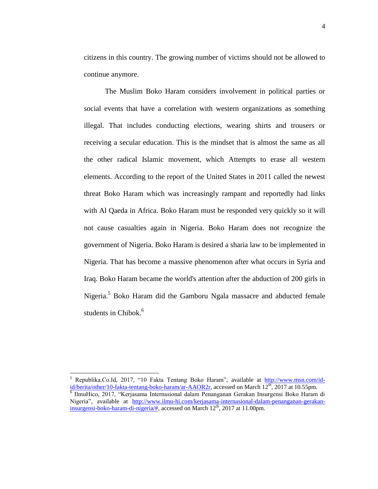citizens in this country. The growing number of victims should not be allowed to continue anymore.

The Muslim Boko Haram considers involvement in political parties or social events that have a correlation with western organizations as something illegal. That includes conducting elections, wearing shirts and trousers or receiving a secular education. This is the mindset that is almost the same as all the other radical Islamic movement, which Attempts to erase all western elements. According to the report of the United States in 2011 called the newest threat Boko Haram which was increasingly rampant and reportedly had links with Al Qaeda in Africa. Boko Haram must be responded very quickly so it will not cause casualties again in Nigeria. Boko Haram does not recognize the government of Nigeria. Boko Haram is desired a sharia law to be implemented in Nigeria. That has become a massive phenomenon after what occurs in Syria and Iraq. Boko Haram became the world's attention after the abduction of 200 girls in Nigeria.<sup>5</sup> Boko Haram did the Gamboru Ngala massacre and abducted female students in Chibok.<sup>6</sup>

 $\overline{a}$ 

 $5$  Republika.Co.Id, 2017, "10 Fakta Tentang Boko Haram", available at [http://www.msn.com/id](http://www.msn.com/id-id/berita/other/10-fakta-tentang-boko-haram/ar-AAOR2r)[id/berita/other/10-fakta-tentang-boko-haram/ar-AAOR2r,](http://www.msn.com/id-id/berita/other/10-fakta-tentang-boko-haram/ar-AAOR2r) accessed on March 12<sup>th</sup>, 2017 at 10.55pm. 6 IlmuHico, 2017, "Kerjasama Internasional dalam Penanganan Gerakan Insurgensi Boko Haram di Nigeria", available at [http://www.ilmu-hi.com/kerjasama-internasional-dalam-penanganan-gerakan](http://www.ilmu-hi.com/kerjasama-internasional-dalam-penanganan-gerakan-insurgensi-boko-haram-di-nigeria/)[insurgensi-boko-haram-di-nigeria/#,](http://www.ilmu-hi.com/kerjasama-internasional-dalam-penanganan-gerakan-insurgensi-boko-haram-di-nigeria/) accessed on March 12<sup>th</sup>, 2017 at 11.00pm.